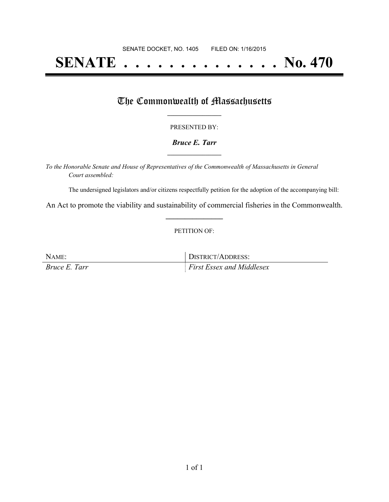# **SENATE . . . . . . . . . . . . . . No. 470**

## The Commonwealth of Massachusetts

#### PRESENTED BY:

#### *Bruce E. Tarr* **\_\_\_\_\_\_\_\_\_\_\_\_\_\_\_\_\_**

*To the Honorable Senate and House of Representatives of the Commonwealth of Massachusetts in General Court assembled:*

The undersigned legislators and/or citizens respectfully petition for the adoption of the accompanying bill:

An Act to promote the viability and sustainability of commercial fisheries in the Commonwealth. **\_\_\_\_\_\_\_\_\_\_\_\_\_\_\_**

#### PETITION OF:

NAME: DISTRICT/ADDRESS: *Bruce E. Tarr First Essex and Middlesex*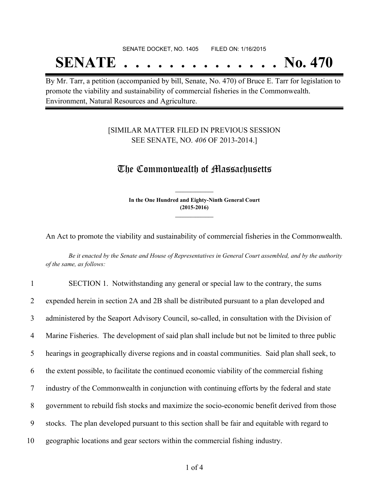# SENATE DOCKET, NO. 1405 FILED ON: 1/16/2015 **SENATE . . . . . . . . . . . . . . No. 470**

By Mr. Tarr, a petition (accompanied by bill, Senate, No. 470) of Bruce E. Tarr for legislation to promote the viability and sustainability of commercial fisheries in the Commonwealth. Environment, Natural Resources and Agriculture.

#### [SIMILAR MATTER FILED IN PREVIOUS SESSION SEE SENATE, NO. *406* OF 2013-2014.]

### The Commonwealth of Massachusetts

**In the One Hundred and Eighty-Ninth General Court (2015-2016) \_\_\_\_\_\_\_\_\_\_\_\_\_\_\_**

**\_\_\_\_\_\_\_\_\_\_\_\_\_\_\_**

An Act to promote the viability and sustainability of commercial fisheries in the Commonwealth.

Be it enacted by the Senate and House of Representatives in General Court assembled, and by the authority *of the same, as follows:*

 SECTION 1. Notwithstanding any general or special law to the contrary, the sums expended herein in section 2A and 2B shall be distributed pursuant to a plan developed and administered by the Seaport Advisory Council, so-called, in consultation with the Division of Marine Fisheries. The development of said plan shall include but not be limited to three public hearings in geographically diverse regions and in coastal communities. Said plan shall seek, to the extent possible, to facilitate the continued economic viability of the commercial fishing industry of the Commonwealth in conjunction with continuing efforts by the federal and state government to rebuild fish stocks and maximize the socio-economic benefit derived from those stocks. The plan developed pursuant to this section shall be fair and equitable with regard to geographic locations and gear sectors within the commercial fishing industry.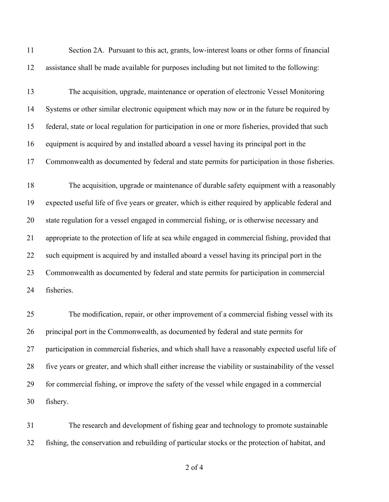| 11 | Section 2A. Pursuant to this act, grants, low-interest loans or other forms of financial             |
|----|------------------------------------------------------------------------------------------------------|
| 12 | assistance shall be made available for purposes including but not limited to the following:          |
| 13 | The acquisition, upgrade, maintenance or operation of electronic Vessel Monitoring                   |
| 14 | Systems or other similar electronic equipment which may now or in the future be required by          |
| 15 | federal, state or local regulation for participation in one or more fisheries, provided that such    |
| 16 | equipment is acquired by and installed aboard a vessel having its principal port in the              |
| 17 | Commonwealth as documented by federal and state permits for participation in those fisheries.        |
| 18 | The acquisition, upgrade or maintenance of durable safety equipment with a reasonably                |
| 19 | expected useful life of five years or greater, which is either required by applicable federal and    |
| 20 | state regulation for a vessel engaged in commercial fishing, or is otherwise necessary and           |
| 21 | appropriate to the protection of life at sea while engaged in commercial fishing, provided that      |
| 22 | such equipment is acquired by and installed aboard a vessel having its principal port in the         |
| 23 | Commonwealth as documented by federal and state permits for participation in commercial              |
| 24 | fisheries.                                                                                           |
| 25 | The modification, repair, or other improvement of a commercial fishing vessel with its               |
| 26 | principal port in the Commonwealth, as documented by federal and state permits for                   |
| 27 | participation in commercial fisheries, and which shall have a reasonably expected useful life of     |
| 28 | five years or greater, and which shall either increase the viability or sustainability of the vessel |
| 29 | for commercial fishing, or improve the safety of the vessel while engaged in a commercial            |
| 30 | fishery.                                                                                             |

 The research and development of fishing gear and technology to promote sustainable fishing, the conservation and rebuilding of particular stocks or the protection of habitat, and

of 4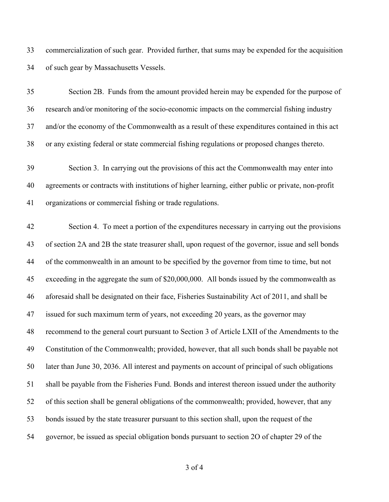commercialization of such gear. Provided further, that sums may be expended for the acquisition of such gear by Massachusetts Vessels.

 Section 2B. Funds from the amount provided herein may be expended for the purpose of research and/or monitoring of the socio-economic impacts on the commercial fishing industry and/or the economy of the Commonwealth as a result of these expenditures contained in this act or any existing federal or state commercial fishing regulations or proposed changes thereto.

 Section 3. In carrying out the provisions of this act the Commonwealth may enter into agreements or contracts with institutions of higher learning, either public or private, non-profit organizations or commercial fishing or trade regulations.

 Section 4. To meet a portion of the expenditures necessary in carrying out the provisions of section 2A and 2B the state treasurer shall, upon request of the governor, issue and sell bonds of the commonwealth in an amount to be specified by the governor from time to time, but not exceeding in the aggregate the sum of \$20,000,000. All bonds issued by the commonwealth as aforesaid shall be designated on their face, Fisheries Sustainability Act of 2011, and shall be issued for such maximum term of years, not exceeding 20 years, as the governor may recommend to the general court pursuant to Section 3 of Article LXII of the Amendments to the Constitution of the Commonwealth; provided, however, that all such bonds shall be payable not later than June 30, 2036. All interest and payments on account of principal of such obligations shall be payable from the Fisheries Fund. Bonds and interest thereon issued under the authority of this section shall be general obligations of the commonwealth; provided, however, that any bonds issued by the state treasurer pursuant to this section shall, upon the request of the governor, be issued as special obligation bonds pursuant to section 2O of chapter 29 of the

of 4